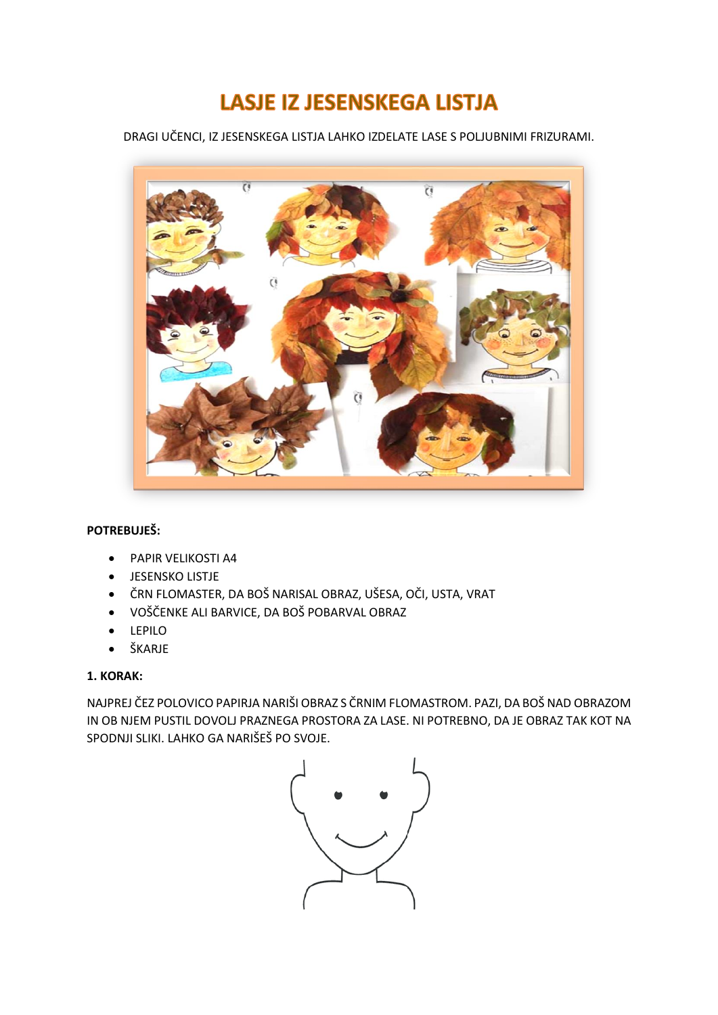# **LASJE IZ JESENSKEGA LISTJA**

DRAGI UČENCI, IZ JESENSKEGA LISTJA LAHKO IZDELATE LASE S POLJUBNIMI FRIZURAMI.



## **POTREBUJEŠ:**

- PAPIR VELIKOSTI A4
- JESENSKO LISTJE
- ČRN FLOMASTER, DA BOŠ NARISAL OBRAZ, UŠESA, OČI, USTA, VRAT
- VOŠČENKE ALI BARVICE, DA BOŠ POBARVAL OBRAZ
- LEPILO
- ŠKARJE

## **1. KORAK:**

NAJPREJ ČEZ POLOVICO PAPIRJA NARIŠI OBRAZ S ČRNIM FLOMASTROM. PAZI, DA BOŠ NAD OBRAZOM IN OB NJEM PUSTIL DOVOLJ PRAZNEGA PROSTORA ZA LASE. NI POTREBNO, DA JE OBRAZ TAK KOT NA SPODNJI SLIKI. LAHKO GA NARIŠEŠ PO SVOJE.

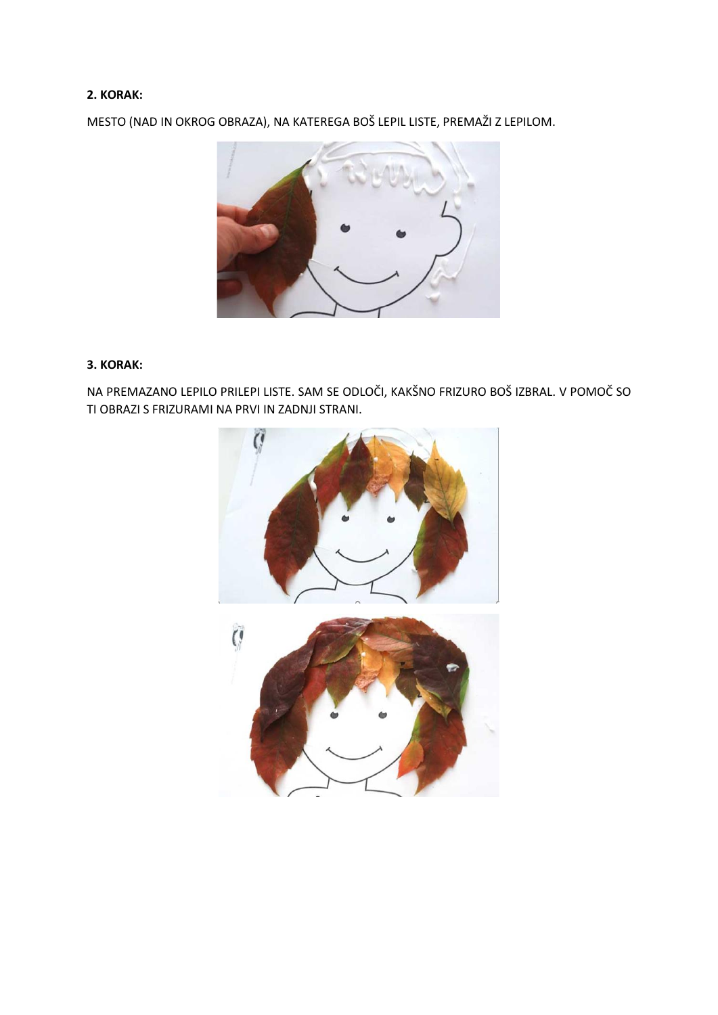## **2. KORAK:**

MESTO (NAD IN OKROG OBRAZA), NA KATEREGA BOŠ LEPIL LISTE, PREMAŽI Z LEPILOM.



## **3. KORAK:**

NA PREMAZANO LEPILO PRILEPI LISTE. SAM SE ODLOČI, KAKŠNO FRIZURO BOŠ IZBRAL. V POMOČ SO TI OBRAZI S FRIZURAMI NA PRVI IN ZADNJI STRANI.

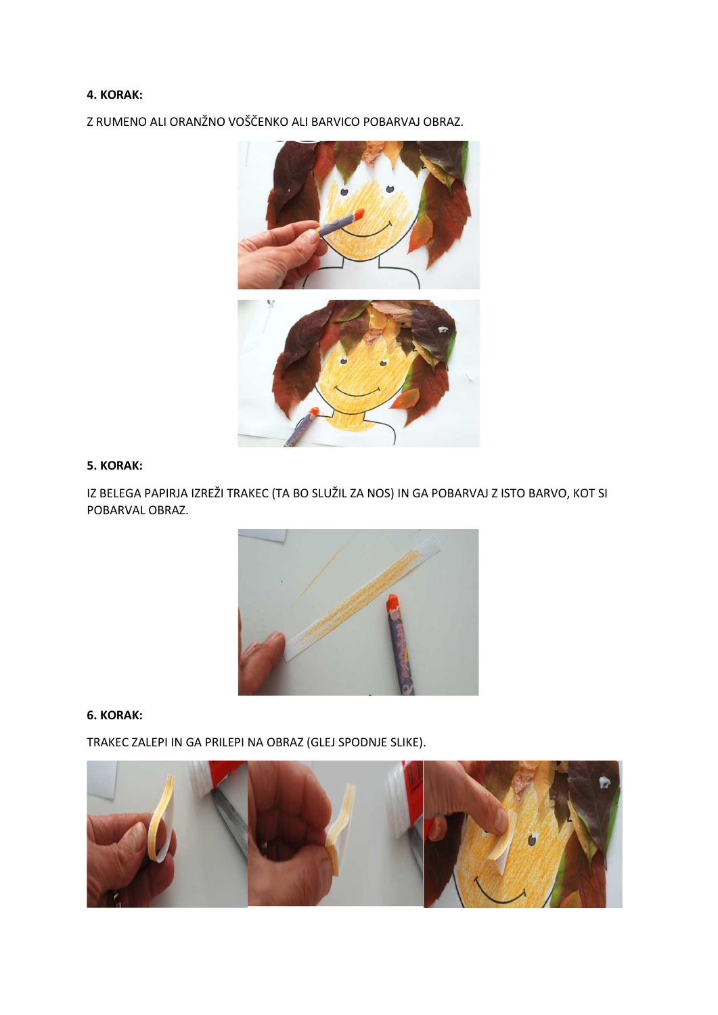#### **4. KORAK:**

Z RUMENO ALI ORANŽNO VOŠČENKO ALI BARVICO POBARVAJ OBRAZ.



## **5. KORAK:**

IZ BELEGA PAPIRJA IZREŽI TRAKEC (TA BO SLUŽIL ZA NOS) IN GA POBARVAJ Z ISTO BARVO, KOT SI POBARVAL OBRAZ.



#### **6. KORAK:**

TRAKEC ZALEPI IN GA PRILEPI NA OBRAZ (GLEJ SPODNJE SLIKE).